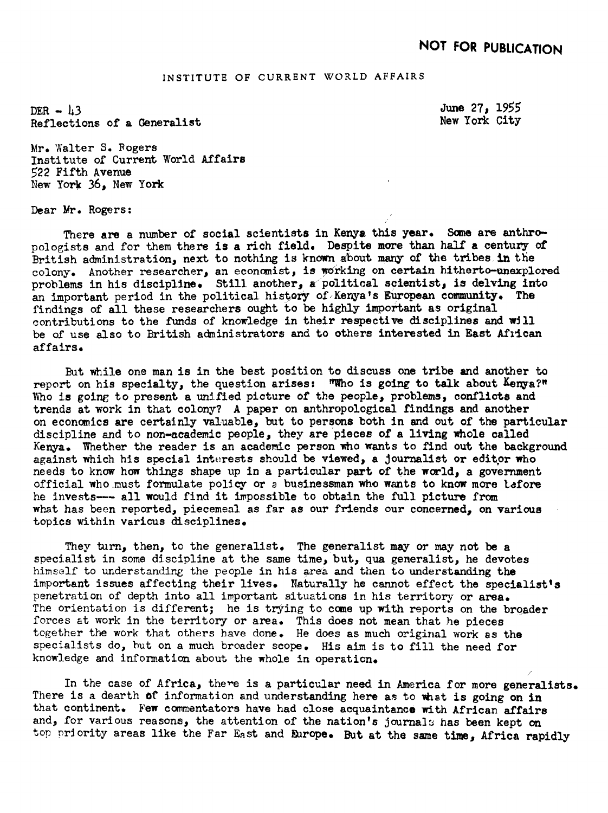## INSTITUTE OF CURRENT WORLD AFFAIRS

DER  $-13$ Reflections of a Generalist New York City

June 27, 1955

Mr. Walter S. Rogers Institute of Current World Affairs 522 Fifth Avenue New York 36, New York

Dear Mr. Rogers:

There are a number of social scientists in Kenya this year. Some are anthropologists and for them there is a rich field. Despite more than half a century of British administration, next to nothing is known about many of the tribes in the colony. Another researcher, an economist, is working on certain hitherto-unexplored problems in his discipline. Still another, a political scientist, is delving into an important period in the political history of Kenya's European community. The findings of all these researchers ought to be highly important as original contributions to the funds of knowledge in their respective disciplines and will be of use also to British administrators and to others interested in East African affairs.

But while one man is in the best position to discuss one tribe and another to report on his specialty, the question arises:  $WW$ ho is going to talk about  $K_{\text{enya}}$ ?" Who is going to present a unified picture of the people, problems, conflicts and trends at work in that colony? A paper on anthropological findings and another on economics are certainly valuable, but to persons both in and out of the particular discipline and to non-academic people, they are pieces of a living whole called Kenya. Whether the reader is an academic person who wants to find out the background against which his special intrests should be viewed, a Journalist or editor who needs to know how things shape up in a particular part of the world, a government official who must formulate policy or a businessman who wants to know more tafore he invests--- all would find it impossible to obtain the full picture from what has been reported, piecemeal as far as our friends our concerned, on various topics within various disciplines.

They turn, then, to the generalist. The generalist may or may not be a specialist in some discipline at the same time, but, qua generalist, he devotes himself to understanding the people in his area and then to understanding the important issues affecting their lives. Naturally he cannot effect the specialist's penetration of depth into all important situations in his territory or area. The orientation is different; he is trying to come up with reports on the broader forces at work in the territory or area. This does not mean that he pieces together the work that others have done. He does as much original work as the specialists do, but on a much broader scope. His aim is to fill the need for knowledge and information about the whole in operation.

In the case of Africa, there is a particular need in America for more generalists. There is a dearth of information and understanding here as to what is going on in that continent. Few commentators have had close acquaintance with African affairs and, for various reasons, the attention of the nation's journals has been kept on top priority areas like the Far East and Europe. But at the same time, Africa rapidly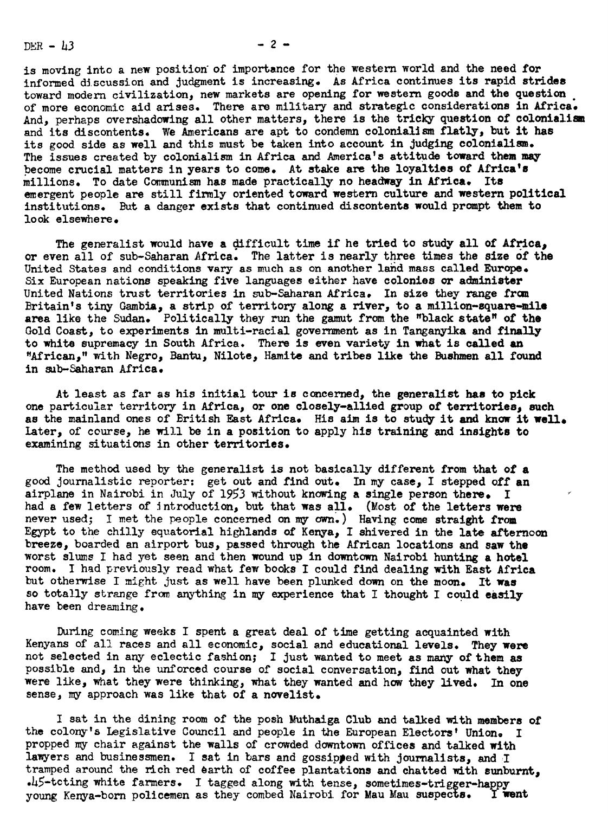$DEF - L3$ 

 $-2-$ 

is moving into a new position of importance for the western world and the need for informed discussion and Judgment is increasing. As Africa continues its rapid strides toward modern civilization, new markets are opening for western goods and the question of more economic aid arises. There are military and strategic considerations in Africa And, perhaps overshadowing all other matters, there is the tricky question of colonialism and its discontents. We Americans are apt to condemn colonialism flatly, but it has its good side as well and this must be taken into account in judging colonialism. The issues created by colonialism in Africa and America's attitude toward them may .become crucial matters in years to come. At stake are the loyalties of Africa's millions. To date Communism has made practically no headway in Africa. Its emergent people are still firmly oriented toward western culture and western political institutions. But a danger exists that continued discontents would prompt them to look elsewhere.

The generalist would have a difficult time if he tried to study all of Africa, or even all of sub-Saharan Africa. The latter is nearly three times the size of the United States and conditions vary as much as on another land mass called Europe. Six European nations speaking five languages either have colonies or administer United Nations trust territories in sub-Saharan Africa. In size they range from Britain's tiny Gambia, a strip of territory along a river, to a million-square-mile area like the Sudan. Politically they run the gamut from the "black state" of the Gold Coast, to experiments in multi-racial government as in Tanganyika and finally to white supremacy in South Africa. There is even variety in what is called an "African," with Negro, Bantu, Nilote, Hamite and tribes like the Bushmen all found in sb-Saharan Africa.

At least as far as his initial tour is concerned, the generalist has to pick one particular territory in Africa, or one closely-allied group of territories, such as the mainland ones of British East Africa. His aim is to study it and know it well. .Later, of course, he will be in a position to apply his training and insights to examining situations in other territories.

The method used by the generalist is not basically different from that of a good journalistic reporter: get out and find out. In my case, I stepped off an airplane in Nairobi in July of 1953 without knowing a single person there. I had a few letters of introduction, but that was all. (Most of the letters were never used; I met the people concerned on my own.) Having come straight from Egypt to the chilly equatorial highlands of Kenya, I shivered in the late afternoon breeze, boarded an airport bus, passed through the African locations and saw the worst slums I had yet seen and then wound up in downtown Nairobi hunting a hotel room. I had previously read what few books I could find dealing with East Africa but otherwise I might just as well have been plunked down on the moon. It was so totally strange from anything in my experience that I thought I could easily have been dreaming.

During coming weeks I spent a great deal of time getting acquainted with Kenyans of all races and all economic, social and educational levels. They were not selected in any eclectic fashion; I just wanted to meet as many of them as possible and, in the unforced course of social conversation, find out what they were like, what they were hinking, what they wanted and how they lived. In one sense, my approach was like that of a novelist.

<sup>I</sup> sat in the dining room of the posh Muthaiga Club and talked with members of the colony's Legislative Council and people in the European Electors' Union. I propped my chair against the walls of crowded downtown offices and talked with lawyers and businessmen. I sat in bars and gossipped with journalists, and I tramped around the rich red earth of coffee plantations and chatted with sunburnt,  $.45$ -tcting white farmers. I tagged along with tense, sometimes-trigger-happy young Kenya-born policemen as they combed Nairobi for Mau Mau suspects. I went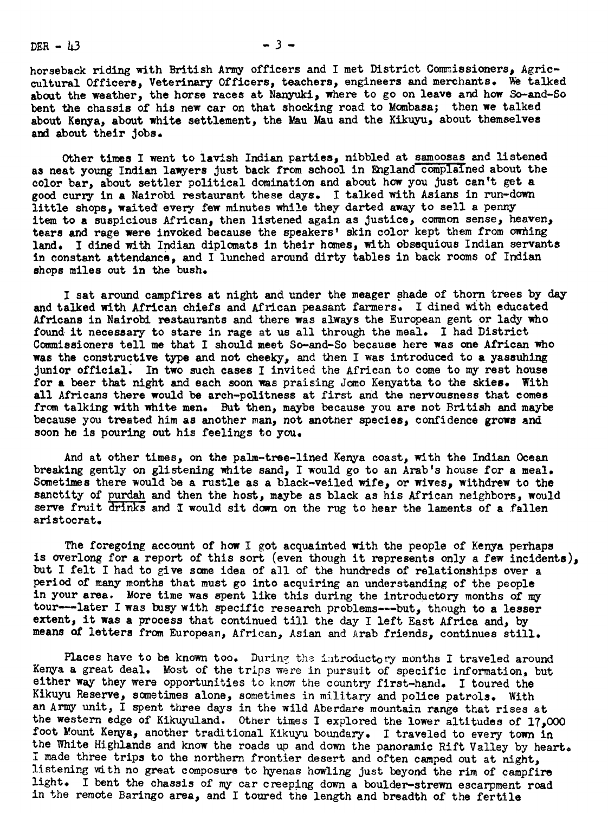DER  $-13$ 

horseback riding with British Army officers and <sup>I</sup> met District Commissioners, Agricculural Officers, Veterinary Officers, teachers, engineers and merchants. We talked about the weather, the horse races at Nanyuki, where to go on leave and how So-and-So bent the chassis of his new car on that shocking road to Mombasa; then we talked about Kenya, about white settlement, the Mau Mau and the Kikuyu, about hemselves and about their Jobs.

Other times I went to lavish Indian parties, nibbled at samoosas and listened as neat young Indian lawyers just back from school in England complained about the color bar, about settler political domination and about how you Just can't get a good curry in a Nairobi restaurant these days. I talked with Asians in run-down little shops, waited every few minutes while they darted away to sell a penny item to a suspicious African, then listened again as Justice, common sense, heaven, tears and rage were invoked because the speakers' skin color kept them from owning land. I dined with Indian diplomats in their homes, with obsequious Indian servants in constant attendance, and I lunched around dirty tables in back rooms of Indian shops miles out in the bush.

<sup>I</sup> sat around campfires at night and under the meager shade of thorn trees by day and talked with African chiefs and African peasant farmers. <sup>I</sup> dined wth educated Africans in Nairobi restaurants and there was always the European gent or lady who found it necessary to stare in rage at us all through the meal. I had District Commissioners tell me that I should meet So-and-So because here was one African who was the constructive type and not cheeky, and hen <sup>I</sup> was introduced to a yassuhing junior official. In two such cases I invited the African to come to my rest house for a beer that night and each soon was praising Jomo Kenyatta to the skies. With all Africans there would be arch-politness at first and the nervousness that comes from talking with white men. But then, maybe because you are not British and maybe because you treated him as another man, not another species, confidence grows and soon he is pouring out his feelings to you.

And at other times, on the palm-tree-lined Kenya coast, with the Indian Ocean breaking gently on glistening white sand, I would go to an Arab's house for a meal. Sometimes there would be a rustle as a black-veiled wife, or wives, withdrew to the sanctity of purdah and then the host, maybe as black as his African neighbors, would serve fruit drinks and I would sit down on the rug to hear the laments of a fallen aristocrat.

serve fruit drinks and I would sit down on the rug to hear the laments of a fallen<br>aristocrat.<br>The foregoing account of how I got acquainted with the people of Kenya perhaps<br>is overlong for a report of this sort (even thou The foregoing account of how I got acquainted with the people of Kenya perhaps but I felt I had to give some idea of all of the hundreds of relationships over a period of many months that must go into acquiring an understanding of the people in your area. More time was spent like this during the introductory months of my tour---later I was busy with specific research problems---but, though to a lesser extent, it was a process that continued till the day I left East Africa and, by means of letters from European, African, Asian and Arab friends, continues still.

Places have to be known too. During the introductory months I traveled around Kenya a great deal. Most of the trips were in pursuit of specific information, but either way they were opportunities to know the country first-hand. I toured the Kikuyu Reserve, sometimes alone, sometimes in military and police patrols. With an Army unit, <sup>I</sup> spent three days in the wild Aberdare mountain range that rises at the western edge of Kikuyuland. Other times <sup>I</sup> explored the lower altitudes of 17,0OO foot Mount Kenya, another traditional Kikuyu boundary. <sup>I</sup> traveled to every town in the White Highlands and know the roads up and down the panoramic Rift Valley by heart. <sup>i</sup> made three trips to the northern frontier desert and often camped out at night, listening with no great composure to hyenas howling just beyond the rim of campfire light. <sup>I</sup> bent the chassis of my car creeping down a boulder-strewn escarpment road in the remote Baringo area, and <sup>I</sup> toured the length and breadth of the fertile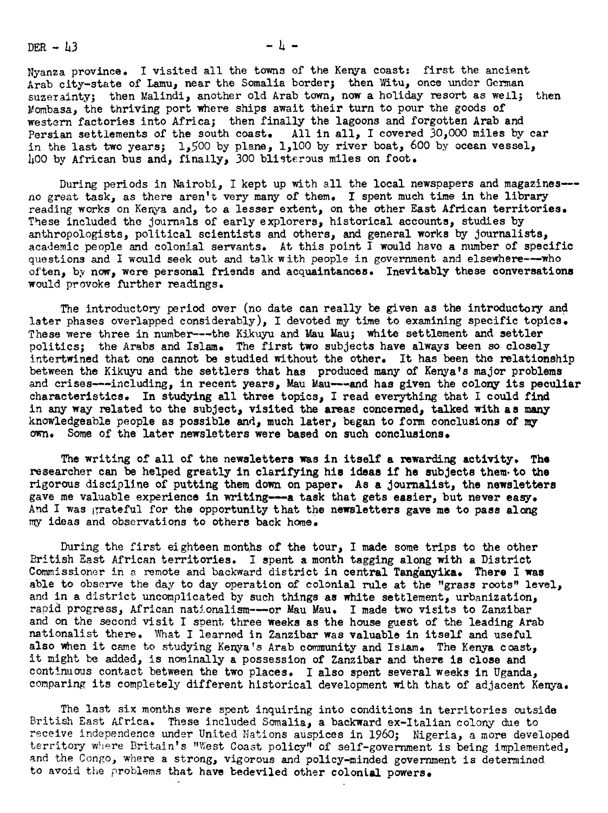DER  $-43$   $-4$   $-$ 

Nyanza province. <sup>I</sup> visited all the towns of the Kenya coast: first the ancient Arab city-state of Lamu, near the Somalia border; then Witu, once under German suzerainty; then Malindi, another old Arab town, now a holiday resort as well; then Mombasa, the thriving port where ships await their turn to pour the goods of western factories into Africa; then finally the lagoons and forgotten Arab and Persian settlements of the south coast. All in all, <sup>I</sup> covered 30,000 miles by car in the last two years; 1,500 by plane, I,I00 by river boat, 600 by ocegn vessel, 400 by African bus and, finally, 300 bliterous miles on foot.

During periods in Nairobi, I kept up with all the local newspapers and magazines--no great task, as there aren't very many of them. I spent much time in the library reading works on Kenya and, to a lesser extent, on the other East African territories. These included the journals of early explorers, historical accounts, studies by anthropologists, political scientists and others, and general works by journalists, academic people and colonial servants. At this point  $\tilde{I}$  would have a number of specific questions and I would seek out and talk with people in government and elsewhere---who often, by now, were personal friends and acquaintances. Inevitably these conversations would provoke further readings.

The introductory period over (no date can really be given as the introductory and later phases overlapped considerably), I devoted my time to examining specific topics. These were three in number --- the Kikuyu and Mau Mau; white settlement and settler politics; the Arabs and Islam. The first two subjects have always been so closely intertwined that one cannot be studied without the other. It has been the relationship between the Kikuyu and the settlers that has produced many of Kenya's major problems and crises---including, in recent years, Mau Mau---and has given the colony its peculiar characteristics. In studying all three topics, I read everything that I could find in any way related to the subject, visited the areas concerned, talked with as many knowledgeable people as possible and, much later, began to form conclusions of my own. Some of the later newsletters were based on such conclusions.

The writing of all of the newsletters was in itself a rewarding activity. The researcher can be helped greatly in clarifying his ideas if he subjects them. to the rigorous discipline of putting them down on paper. As a Journalist, the newsletters gave me valuable experience in writing---a task that gets easier, but never easy, And I was grateful for the opportunity that the newsletters gave me to pass along my ideas and observations to others back home.

During the first eighteen months of the tour, I made some trips to the other British East African territories. I spent a month tagging along with a District Commissioner in a remote and backward district in central Tanganyika. There I was able to observe the day to day operation of colonial rule at the "grass roots" level, and in a district uncomplicated by such things as white settlement, urbanization, rapid progress, African nationalism----or Mau Mau. I made two visits to Zanzibar and on the second visit I spent three weeks as the house guest of the leading Arab nationalist there. What I learned in Zanzibar was valuable in itself and useful also when it came to studying Kenya's Arab community and Islam. The Kenya coast, it might be added, is nominally a possession of Zanzibar and there is close and continuous contact between the two places. I also spent several weeks in Uganda, comparing its completely different historical development with that of adjacent Kenya.

The last six months were spent inquiring into conditions in territories outside British East Africa. These included Somalia, a backward ex-Italian colony due to receive independence under United Nations auspices in 1960; Nigeria, a more developed territory where Britain's "West Coast policy" of self-government is being implemented, and the Congo, where a strong, vigorous and policy-minded government is determined to avoid the problems that have bedeviled other colonial powers.